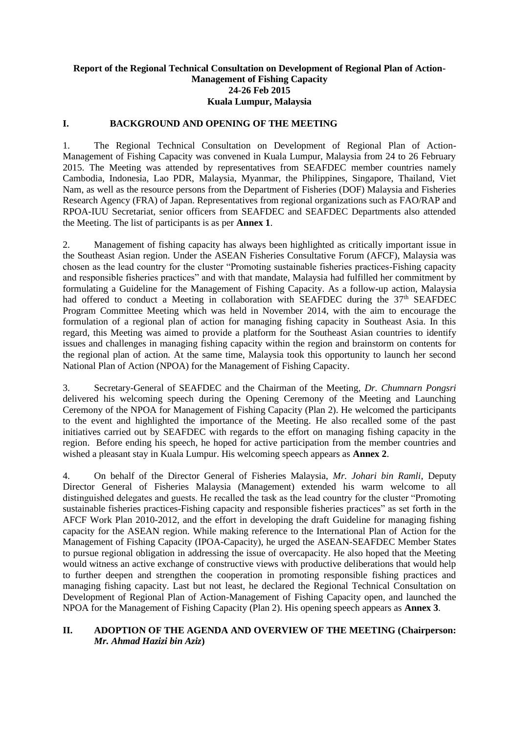#### **Report of the Regional Technical Consultation on Development of Regional Plan of Action-Management of Fishing Capacity 24-26 Feb 2015 Kuala Lumpur, Malaysia**

#### **I. BACKGROUND AND OPENING OF THE MEETING**

1. The Regional Technical Consultation on Development of Regional Plan of Action-Management of Fishing Capacity was convened in Kuala Lumpur, Malaysia from 24 to 26 February 2015. The Meeting was attended by representatives from SEAFDEC member countries namely Cambodia, Indonesia, Lao PDR, Malaysia, Myanmar, the Philippines, Singapore, Thailand, Viet Nam, as well as the resource persons from the Department of Fisheries (DOF) Malaysia and Fisheries Research Agency (FRA) of Japan. Representatives from regional organizations such as FAO/RAP and RPOA-IUU Secretariat, senior officers from SEAFDEC and SEAFDEC Departments also attended the Meeting. The list of participants is as per **Annex 1**.

2. Management of fishing capacity has always been highlighted as critically important issue in the Southeast Asian region. Under the ASEAN Fisheries Consultative Forum (AFCF), Malaysia was chosen as the lead country for the cluster "Promoting sustainable fisheries practices-Fishing capacity and responsible fisheries practices" and with that mandate, Malaysia had fulfilled her commitment by formulating a Guideline for the Management of Fishing Capacity. As a follow-up action, Malaysia had offered to conduct a Meeting in collaboration with SEAFDEC during the 37<sup>th</sup> SEAFDEC Program Committee Meeting which was held in November 2014, with the aim to encourage the formulation of a regional plan of action for managing fishing capacity in Southeast Asia. In this regard, this Meeting was aimed to provide a platform for the Southeast Asian countries to identify issues and challenges in managing fishing capacity within the region and brainstorm on contents for the regional plan of action. At the same time, Malaysia took this opportunity to launch her second National Plan of Action (NPOA) for the Management of Fishing Capacity.

3. Secretary-General of SEAFDEC and the Chairman of the Meeting, *Dr. Chumnarn Pongsri* delivered his welcoming speech during the Opening Ceremony of the Meeting and Launching Ceremony of the NPOA for Management of Fishing Capacity (Plan 2). He welcomed the participants to the event and highlighted the importance of the Meeting. He also recalled some of the past initiatives carried out by SEAFDEC with regards to the effort on managing fishing capacity in the region. Before ending his speech, he hoped for active participation from the member countries and wished a pleasant stay in Kuala Lumpur. His welcoming speech appears as **Annex 2**.

4. On behalf of the Director General of Fisheries Malaysia, *Mr. Johari bin Ramli*, Deputy Director General of Fisheries Malaysia (Management) extended his warm welcome to all distinguished delegates and guests. He recalled the task as the lead country for the cluster "Promoting sustainable fisheries practices-Fishing capacity and responsible fisheries practices" as set forth in the AFCF Work Plan 2010-2012, and the effort in developing the draft Guideline for managing fishing capacity for the ASEAN region. While making reference to the International Plan of Action for the Management of Fishing Capacity (IPOA-Capacity), he urged the ASEAN-SEAFDEC Member States to pursue regional obligation in addressing the issue of overcapacity. He also hoped that the Meeting would witness an active exchange of constructive views with productive deliberations that would help to further deepen and strengthen the cooperation in promoting responsible fishing practices and managing fishing capacity. Last but not least, he declared the Regional Technical Consultation on Development of Regional Plan of Action-Management of Fishing Capacity open, and launched the NPOA for the Management of Fishing Capacity (Plan 2). His opening speech appears as **Annex 3**.

#### **II. ADOPTION OF THE AGENDA AND OVERVIEW OF THE MEETING (Chairperson:** *Mr. Ahmad Hazizi bin Aziz***)**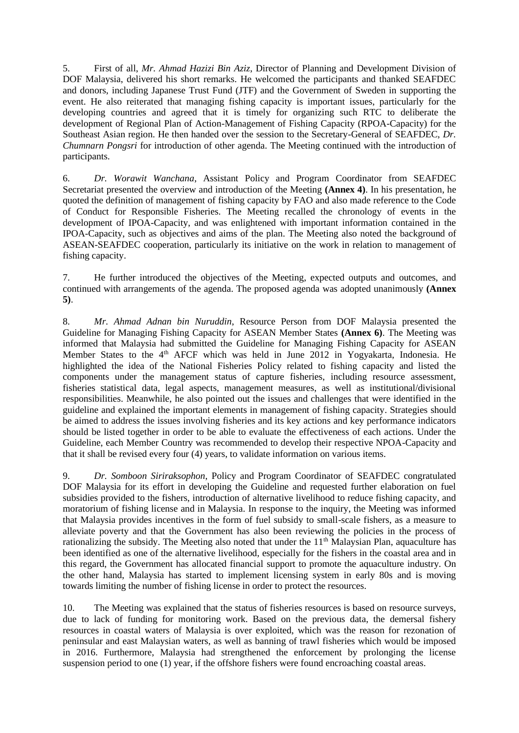5. First of all, *Mr. Ahmad Hazizi Bin Aziz*, Director of Planning and Development Division of DOF Malaysia, delivered his short remarks. He welcomed the participants and thanked SEAFDEC and donors, including Japanese Trust Fund (JTF) and the Government of Sweden in supporting the event. He also reiterated that managing fishing capacity is important issues, particularly for the developing countries and agreed that it is timely for organizing such RTC to deliberate the development of Regional Plan of Action-Management of Fishing Capacity (RPOA-Capacity) for the Southeast Asian region. He then handed over the session to the Secretary-General of SEAFDEC, *Dr. Chumnarn Pongsri* for introduction of other agenda. The Meeting continued with the introduction of participants.

6. *Dr. Worawit Wanchana*, Assistant Policy and Program Coordinator from SEAFDEC Secretariat presented the overview and introduction of the Meeting **(Annex 4)**. In his presentation, he quoted the definition of management of fishing capacity by FAO and also made reference to the Code of Conduct for Responsible Fisheries. The Meeting recalled the chronology of events in the development of IPOA-Capacity, and was enlightened with important information contained in the IPOA-Capacity, such as objectives and aims of the plan. The Meeting also noted the background of ASEAN-SEAFDEC cooperation, particularly its initiative on the work in relation to management of fishing capacity.

7. He further introduced the objectives of the Meeting, expected outputs and outcomes, and continued with arrangements of the agenda. The proposed agenda was adopted unanimously **(Annex 5)**.

8. *Mr. Ahmad Adnan bin Nuruddin*, Resource Person from DOF Malaysia presented the Guideline for Managing Fishing Capacity for ASEAN Member States **(Annex 6)**. The Meeting was informed that Malaysia had submitted the Guideline for Managing Fishing Capacity for ASEAN Member States to the 4<sup>th</sup> AFCF which was held in June 2012 in Yogyakarta, Indonesia. He highlighted the idea of the National Fisheries Policy related to fishing capacity and listed the components under the management status of capture fisheries, including resource assessment, fisheries statistical data, legal aspects, management measures, as well as institutional/divisional responsibilities. Meanwhile, he also pointed out the issues and challenges that were identified in the guideline and explained the important elements in management of fishing capacity. Strategies should be aimed to address the issues involving fisheries and its key actions and key performance indicators should be listed together in order to be able to evaluate the effectiveness of each actions. Under the Guideline, each Member Country was recommended to develop their respective NPOA-Capacity and that it shall be revised every four (4) years, to validate information on various items.

9. *Dr. Somboon Siriraksophon*, Policy and Program Coordinator of SEAFDEC congratulated DOF Malaysia for its effort in developing the Guideline and requested further elaboration on fuel subsidies provided to the fishers, introduction of alternative livelihood to reduce fishing capacity, and moratorium of fishing license and in Malaysia. In response to the inquiry, the Meeting was informed that Malaysia provides incentives in the form of fuel subsidy to small-scale fishers, as a measure to alleviate poverty and that the Government has also been reviewing the policies in the process of rationalizing the subsidy. The Meeting also noted that under the  $11<sup>th</sup>$  Malaysian Plan, aquaculture has been identified as one of the alternative livelihood, especially for the fishers in the coastal area and in this regard, the Government has allocated financial support to promote the aquaculture industry. On the other hand, Malaysia has started to implement licensing system in early 80s and is moving towards limiting the number of fishing license in order to protect the resources.

10. The Meeting was explained that the status of fisheries resources is based on resource surveys, due to lack of funding for monitoring work. Based on the previous data, the demersal fishery resources in coastal waters of Malaysia is over exploited, which was the reason for rezonation of peninsular and east Malaysian waters, as well as banning of trawl fisheries which would be imposed in 2016. Furthermore, Malaysia had strengthened the enforcement by prolonging the license suspension period to one (1) year, if the offshore fishers were found encroaching coastal areas.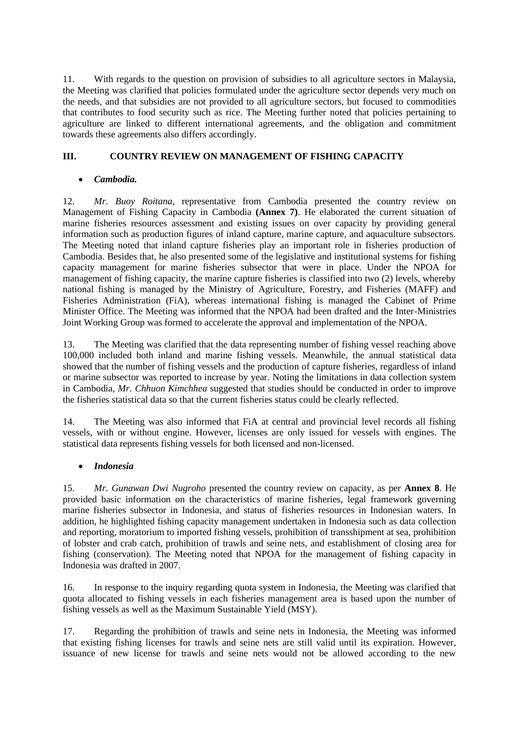11. With regards to the question on provision of subsidies to all agriculture sectors in Malaysia, the Meeting was clarified that policies formulated under the agriculture sector depends very much on the needs, and that subsidies are not provided to all agriculture sectors, but focused to commodities that contributes to food security such as rice. The Meeting further noted that policies pertaining to agriculture are linked to different international agreements, and the obligation and commitment towards these agreements also differs accordingly.

## **III. COUNTRY REVIEW ON MANAGEMENT OF FISHING CAPACITY**

#### • *Cambodia.*

12. *Mr. Buoy Roitana*, representative from Cambodia presented the country review on Management of Fishing Capacity in Cambodia **(Annex 7)**. He elaborated the current situation of marine fisheries resources assessment and existing issues on over capacity by providing general information such as production figures of inland capture, marine capture, and aquaculture subsectors. The Meeting noted that inland capture fisheries play an important role in fisheries production of Cambodia. Besides that, he also presented some of the legislative and institutional systems for fishing capacity management for marine fisheries subsector that were in place. Under the NPOA for management of fishing capacity, the marine capture fisheries is classified into two (2) levels, whereby national fishing is managed by the Ministry of Agriculture, Forestry, and Fisheries (MAFF) and Fisheries Administration (FiA), whereas international fishing is managed the Cabinet of Prime Minister Office. The Meeting was informed that the NPOA had been drafted and the Inter-Ministries Joint Working Group was formed to accelerate the approval and implementation of the NPOA.

13. The Meeting was clarified that the data representing number of fishing vessel reaching above 100,000 included both inland and marine fishing vessels. Meanwhile, the annual statistical data showed that the number of fishing vessels and the production of capture fisheries, regardless of inland or marine subsector was reported to increase by year. Noting the limitations in data collection system in Cambodia, *Mr. Chhuon Kimchhea* suggested that studies should be conducted in order to improve the fisheries statistical data so that the current fisheries status could be clearly reflected.

14. The Meeting was also informed that FiA at central and provincial level records all fishing vessels, with or without engine. However, licenses are only issued for vessels with engines. The statistical data represents fishing vessels for both licensed and non-licensed.

#### • *Indonesia*

15. *Mr. Gunawan Dwi Nugroho* presented the country review on capacity, as per **Annex 8**. He provided basic information on the characteristics of marine fisheries, legal framework governing marine fisheries subsector in Indonesia, and status of fisheries resources in Indonesian waters. In addition, he highlighted fishing capacity management undertaken in Indonesia such as data collection and reporting, moratorium to imported fishing vessels, prohibition of transshipment at sea, prohibition of lobster and crab catch, prohibition of trawls and seine nets, and establishment of closing area for fishing (conservation). The Meeting noted that NPOA for the management of fishing capacity in Indonesia was drafted in 2007.

16. In response to the inquiry regarding quota system in Indonesia, the Meeting was clarified that quota allocated to fishing vessels in each fisheries management area is based upon the number of fishing vessels as well as the Maximum Sustainable Yield (MSY).

17. Regarding the prohibition of trawls and seine nets in Indonesia, the Meeting was informed that existing fishing licenses for trawls and seine nets are still valid until its expiration. However, issuance of new license for trawls and seine nets would not be allowed according to the new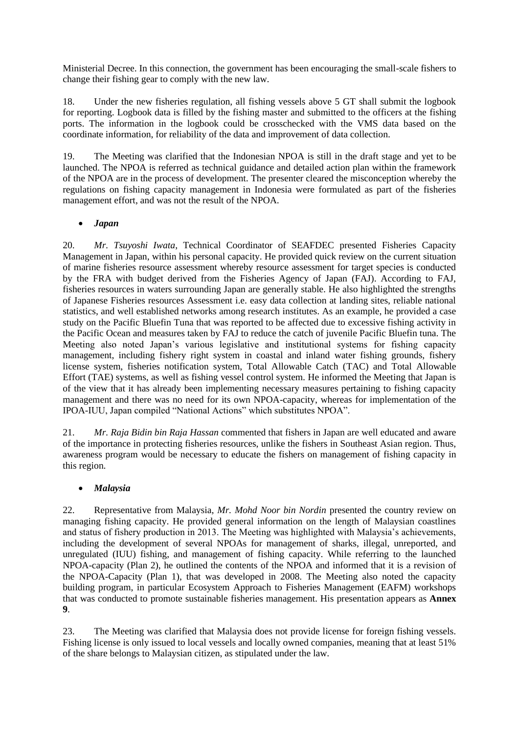Ministerial Decree. In this connection, the government has been encouraging the small-scale fishers to change their fishing gear to comply with the new law.

18. Under the new fisheries regulation, all fishing vessels above 5 GT shall submit the logbook for reporting. Logbook data is filled by the fishing master and submitted to the officers at the fishing ports. The information in the logbook could be crosschecked with the VMS data based on the coordinate information, for reliability of the data and improvement of data collection.

19. The Meeting was clarified that the Indonesian NPOA is still in the draft stage and yet to be launched. The NPOA is referred as technical guidance and detailed action plan within the framework of the NPOA are in the process of development. The presenter cleared the misconception whereby the regulations on fishing capacity management in Indonesia were formulated as part of the fisheries management effort, and was not the result of the NPOA.

#### • *Japan*

20. *Mr. Tsuyoshi Iwata*, Technical Coordinator of SEAFDEC presented Fisheries Capacity Management in Japan, within his personal capacity. He provided quick review on the current situation of marine fisheries resource assessment whereby resource assessment for target species is conducted by the FRA with budget derived from the Fisheries Agency of Japan (FAJ). According to FAJ, fisheries resources in waters surrounding Japan are generally stable. He also highlighted the strengths of Japanese Fisheries resources Assessment i.e. easy data collection at landing sites, reliable national statistics, and well established networks among research institutes. As an example, he provided a case study on the Pacific Bluefin Tuna that was reported to be affected due to excessive fishing activity in the Pacific Ocean and measures taken by FAJ to reduce the catch of juvenile Pacific Bluefin tuna. The Meeting also noted Japan's various legislative and institutional systems for fishing capacity management, including fishery right system in coastal and inland water fishing grounds, fishery license system, fisheries notification system, Total Allowable Catch (TAC) and Total Allowable Effort (TAE) systems, as well as fishing vessel control system. He informed the Meeting that Japan is of the view that it has already been implementing necessary measures pertaining to fishing capacity management and there was no need for its own NPOA-capacity, whereas for implementation of the IPOA-IUU, Japan compiled "National Actions" which substitutes NPOA".

21. *Mr. Raja Bidin bin Raja Hassan* commented that fishers in Japan are well educated and aware of the importance in protecting fisheries resources, unlike the fishers in Southeast Asian region. Thus, awareness program would be necessary to educate the fishers on management of fishing capacity in this region.

## • *Malaysia*

22. Representative from Malaysia, *Mr. Mohd Noor bin Nordin* presented the country review on managing fishing capacity. He provided general information on the length of Malaysian coastlines and status of fishery production in 2013. The Meeting was highlighted with Malaysia's achievements, including the development of several NPOAs for management of sharks, illegal, unreported, and unregulated (IUU) fishing, and management of fishing capacity. While referring to the launched NPOA-capacity (Plan 2), he outlined the contents of the NPOA and informed that it is a revision of the NPOA-Capacity (Plan 1), that was developed in 2008. The Meeting also noted the capacity building program, in particular Ecosystem Approach to Fisheries Management (EAFM) workshops that was conducted to promote sustainable fisheries management. His presentation appears as **Annex 9**.

23. The Meeting was clarified that Malaysia does not provide license for foreign fishing vessels. Fishing license is only issued to local vessels and locally owned companies, meaning that at least 51% of the share belongs to Malaysian citizen, as stipulated under the law.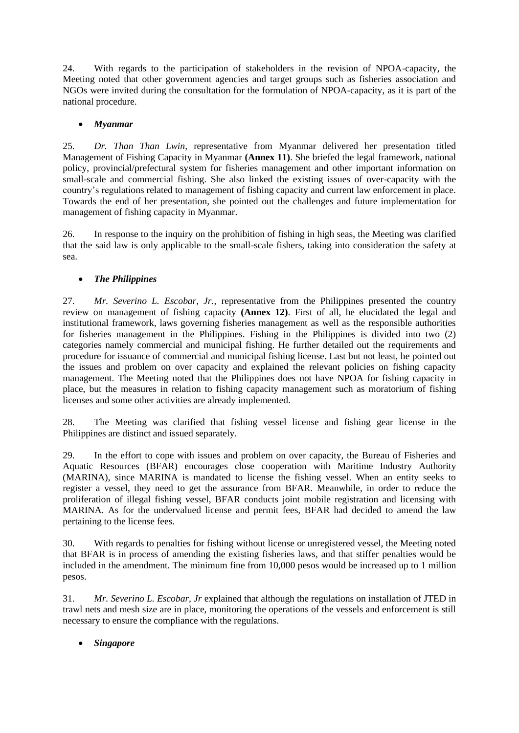24. With regards to the participation of stakeholders in the revision of NPOA-capacity, the Meeting noted that other government agencies and target groups such as fisheries association and NGOs were invited during the consultation for the formulation of NPOA-capacity, as it is part of the national procedure.

## • *Myanmar*

25. *Dr. Than Than Lwin*, representative from Myanmar delivered her presentation titled Management of Fishing Capacity in Myanmar **(Annex 11)**. She briefed the legal framework, national policy, provincial/prefectural system for fisheries management and other important information on small-scale and commercial fishing. She also linked the existing issues of over-capacity with the country's regulations related to management of fishing capacity and current law enforcement in place. Towards the end of her presentation, she pointed out the challenges and future implementation for management of fishing capacity in Myanmar.

26. In response to the inquiry on the prohibition of fishing in high seas, the Meeting was clarified that the said law is only applicable to the small-scale fishers, taking into consideration the safety at sea.

## • *The Philippines*

27. *Mr. Severino L. Escobar, Jr.*, representative from the Philippines presented the country review on management of fishing capacity **(Annex 12)**. First of all, he elucidated the legal and institutional framework, laws governing fisheries management as well as the responsible authorities for fisheries management in the Philippines. Fishing in the Philippines is divided into two (2) categories namely commercial and municipal fishing. He further detailed out the requirements and procedure for issuance of commercial and municipal fishing license. Last but not least, he pointed out the issues and problem on over capacity and explained the relevant policies on fishing capacity management. The Meeting noted that the Philippines does not have NPOA for fishing capacity in place, but the measures in relation to fishing capacity management such as moratorium of fishing licenses and some other activities are already implemented.

28. The Meeting was clarified that fishing vessel license and fishing gear license in the Philippines are distinct and issued separately.

29. In the effort to cope with issues and problem on over capacity, the Bureau of Fisheries and Aquatic Resources (BFAR) encourages close cooperation with Maritime Industry Authority (MARINA), since MARINA is mandated to license the fishing vessel. When an entity seeks to register a vessel, they need to get the assurance from BFAR. Meanwhile, in order to reduce the proliferation of illegal fishing vessel, BFAR conducts joint mobile registration and licensing with MARINA. As for the undervalued license and permit fees, BFAR had decided to amend the law pertaining to the license fees.

30. With regards to penalties for fishing without license or unregistered vessel, the Meeting noted that BFAR is in process of amending the existing fisheries laws, and that stiffer penalties would be included in the amendment. The minimum fine from 10,000 pesos would be increased up to 1 million pesos.

31. *Mr. Severino L. Escobar, Jr* explained that although the regulations on installation of JTED in trawl nets and mesh size are in place, monitoring the operations of the vessels and enforcement is still necessary to ensure the compliance with the regulations.

• *Singapore*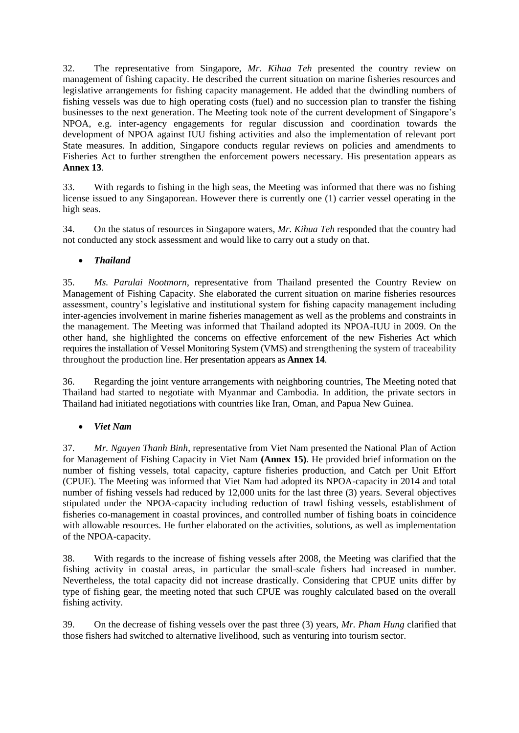32. The representative from Singapore, *Mr. Kihua Teh* presented the country review on management of fishing capacity. He described the current situation on marine fisheries resources and legislative arrangements for fishing capacity management. He added that the dwindling numbers of fishing vessels was due to high operating costs (fuel) and no succession plan to transfer the fishing businesses to the next generation. The Meeting took note of the current development of Singapore's NPOA, e.g. inter-agency engagements for regular discussion and coordination towards the development of NPOA against IUU fishing activities and also the implementation of relevant port State measures. In addition, Singapore conducts regular reviews on policies and amendments to Fisheries Act to further strengthen the enforcement powers necessary. His presentation appears as **Annex 13**.

33. With regards to fishing in the high seas, the Meeting was informed that there was no fishing license issued to any Singaporean. However there is currently one (1) carrier vessel operating in the high seas.

34. On the status of resources in Singapore waters, *Mr. Kihua Teh* responded that the country had not conducted any stock assessment and would like to carry out a study on that.

## • *Thailand*

35. *Ms. Parulai Nootmorn*, representative from Thailand presented the Country Review on Management of Fishing Capacity. She elaborated the current situation on marine fisheries resources assessment, country's legislative and institutional system for fishing capacity management including inter-agencies involvement in marine fisheries management as well as the problems and constraints in the management. The Meeting was informed that Thailand adopted its NPOA-IUU in 2009. On the other hand, she highlighted the concerns on effective enforcement of the new Fisheries Act which requires the installation of Vessel Monitoring System (VMS) and strengthening the system of traceability throughout the production line. Her presentation appears as **Annex 14**.

36. Regarding the joint venture arrangements with neighboring countries, The Meeting noted that Thailand had started to negotiate with Myanmar and Cambodia. In addition, the private sectors in Thailand had initiated negotiations with countries like Iran, Oman, and Papua New Guinea.

## • *Viet Nam*

37. *Mr. Nguyen Thanh Binh*, representative from Viet Nam presented the National Plan of Action for Management of Fishing Capacity in Viet Nam **(Annex 15)**. He provided brief information on the number of fishing vessels, total capacity, capture fisheries production, and Catch per Unit Effort (CPUE). The Meeting was informed that Viet Nam had adopted its NPOA-capacity in 2014 and total number of fishing vessels had reduced by 12,000 units for the last three (3) years. Several objectives stipulated under the NPOA-capacity including reduction of trawl fishing vessels, establishment of fisheries co-management in coastal provinces, and controlled number of fishing boats in coincidence with allowable resources. He further elaborated on the activities, solutions, as well as implementation of the NPOA-capacity.

38. With regards to the increase of fishing vessels after 2008, the Meeting was clarified that the fishing activity in coastal areas, in particular the small-scale fishers had increased in number. Nevertheless, the total capacity did not increase drastically. Considering that CPUE units differ by type of fishing gear, the meeting noted that such CPUE was roughly calculated based on the overall fishing activity.

39. On the decrease of fishing vessels over the past three (3) years, *Mr. Pham Hung* clarified that those fishers had switched to alternative livelihood, such as venturing into tourism sector.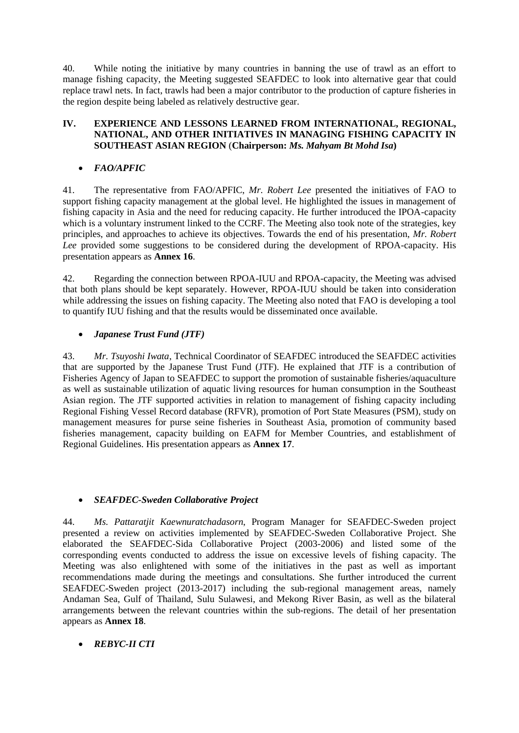40. While noting the initiative by many countries in banning the use of trawl as an effort to manage fishing capacity, the Meeting suggested SEAFDEC to look into alternative gear that could replace trawl nets. In fact, trawls had been a major contributor to the production of capture fisheries in the region despite being labeled as relatively destructive gear.

#### **IV. EXPERIENCE AND LESSONS LEARNED FROM INTERNATIONAL, REGIONAL, NATIONAL, AND OTHER INITIATIVES IN MANAGING FISHING CAPACITY IN SOUTHEAST ASIAN REGION** (**Chairperson:** *Ms. Mahyam Bt Mohd Isa***)**

## • *FAO/APFIC*

41. The representative from FAO/APFIC, *Mr. Robert Lee* presented the initiatives of FAO to support fishing capacity management at the global level. He highlighted the issues in management of fishing capacity in Asia and the need for reducing capacity. He further introduced the IPOA-capacity which is a voluntary instrument linked to the CCRF. The Meeting also took note of the strategies, key principles, and approaches to achieve its objectives. Towards the end of his presentation, *Mr. Robert Lee* provided some suggestions to be considered during the development of RPOA-capacity. His presentation appears as **Annex 16**.

42. Regarding the connection between RPOA-IUU and RPOA-capacity, the Meeting was advised that both plans should be kept separately. However, RPOA-IUU should be taken into consideration while addressing the issues on fishing capacity. The Meeting also noted that FAO is developing a tool to quantify IUU fishing and that the results would be disseminated once available.

## • *Japanese Trust Fund (JTF)*

43. *Mr. Tsuyoshi Iwata*, Technical Coordinator of SEAFDEC introduced the SEAFDEC activities that are supported by the Japanese Trust Fund (JTF). He explained that JTF is a contribution of Fisheries Agency of Japan to SEAFDEC to support the promotion of sustainable fisheries/aquaculture as well as sustainable utilization of aquatic living resources for human consumption in the Southeast Asian region. The JTF supported activities in relation to management of fishing capacity including Regional Fishing Vessel Record database (RFVR), promotion of Port State Measures (PSM), study on management measures for purse seine fisheries in Southeast Asia, promotion of community based fisheries management, capacity building on EAFM for Member Countries, and establishment of Regional Guidelines. His presentation appears as **Annex 17**.

## • *SEAFDEC-Sweden Collaborative Project*

44. *Ms. Pattaratjit Kaewnuratchadasorn*, Program Manager for SEAFDEC-Sweden project presented a review on activities implemented by SEAFDEC-Sweden Collaborative Project. She elaborated the SEAFDEC-Sida Collaborative Project (2003-2006) and listed some of the corresponding events conducted to address the issue on excessive levels of fishing capacity. The Meeting was also enlightened with some of the initiatives in the past as well as important recommendations made during the meetings and consultations. She further introduced the current SEAFDEC-Sweden project (2013-2017) including the sub-regional management areas, namely Andaman Sea, Gulf of Thailand, Sulu Sulawesi, and Mekong River Basin, as well as the bilateral arrangements between the relevant countries within the sub-regions. The detail of her presentation appears as **Annex 18**.

# • *REBYC-II CTI*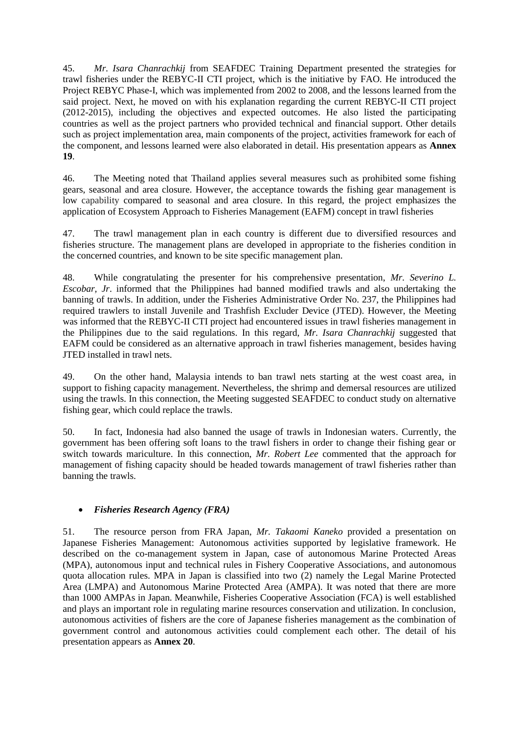45. *Mr. Isara Chanrachkij* from SEAFDEC Training Department presented the strategies for trawl fisheries under the REBYC-II CTI project, which is the initiative by FAO. He introduced the Project REBYC Phase-I, which was implemented from 2002 to 2008, and the lessons learned from the said project. Next, he moved on with his explanation regarding the current REBYC-II CTI project (2012-2015), including the objectives and expected outcomes. He also listed the participating countries as well as the project partners who provided technical and financial support. Other details such as project implementation area, main components of the project, activities framework for each of the component, and lessons learned were also elaborated in detail. His presentation appears as **Annex 19**.

46. The Meeting noted that Thailand applies several measures such as prohibited some fishing gears, seasonal and area closure. However, the acceptance towards the fishing gear management is low capability compared to seasonal and area closure. In this regard, the project emphasizes the application of Ecosystem Approach to Fisheries Management (EAFM) concept in trawl fisheries

47. The trawl management plan in each country is different due to diversified resources and fisheries structure. The management plans are developed in appropriate to the fisheries condition in the concerned countries, and known to be site specific management plan.

48. While congratulating the presenter for his comprehensive presentation, *Mr. Severino L. Escobar, Jr*. informed that the Philippines had banned modified trawls and also undertaking the banning of trawls. In addition, under the Fisheries Administrative Order No. 237, the Philippines had required trawlers to install Juvenile and Trashfish Excluder Device (JTED). However, the Meeting was informed that the REBYC-II CTI project had encountered issues in trawl fisheries management in the Philippines due to the said regulations. In this regard, *Mr. Isara Chanrachkij* suggested that EAFM could be considered as an alternative approach in trawl fisheries management, besides having JTED installed in trawl nets.

49. On the other hand, Malaysia intends to ban trawl nets starting at the west coast area, in support to fishing capacity management. Nevertheless, the shrimp and demersal resources are utilized using the trawls. In this connection, the Meeting suggested SEAFDEC to conduct study on alternative fishing gear, which could replace the trawls.

50. In fact, Indonesia had also banned the usage of trawls in Indonesian waters. Currently, the government has been offering soft loans to the trawl fishers in order to change their fishing gear or switch towards mariculture. In this connection, *Mr. Robert Lee* commented that the approach for management of fishing capacity should be headed towards management of trawl fisheries rather than banning the trawls.

## • *Fisheries Research Agency (FRA)*

51. The resource person from FRA Japan, *Mr. Takaomi Kaneko* provided a presentation on Japanese Fisheries Management: Autonomous activities supported by legislative framework. He described on the co-management system in Japan, case of autonomous Marine Protected Areas (MPA), autonomous input and technical rules in Fishery Cooperative Associations, and autonomous quota allocation rules. MPA in Japan is classified into two (2) namely the Legal Marine Protected Area (LMPA) and Autonomous Marine Protected Area (AMPA). It was noted that there are more than 1000 AMPAs in Japan. Meanwhile, Fisheries Cooperative Association (FCA) is well established and plays an important role in regulating marine resources conservation and utilization. In conclusion, autonomous activities of fishers are the core of Japanese fisheries management as the combination of government control and autonomous activities could complement each other. The detail of his presentation appears as **Annex 20**.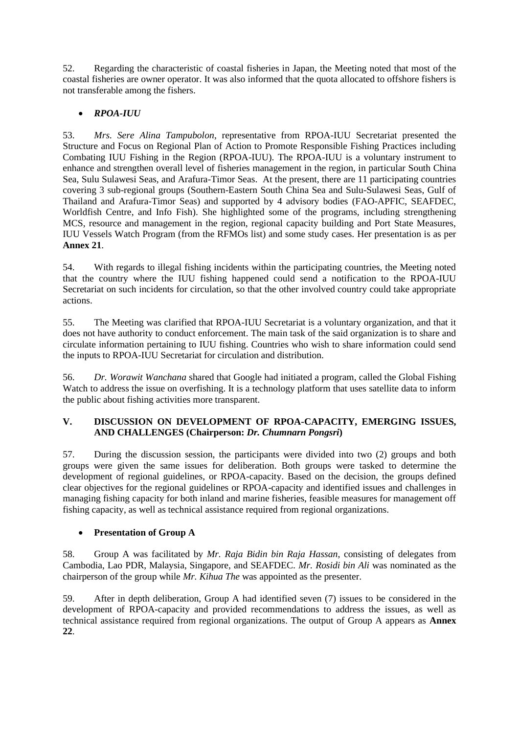52. Regarding the characteristic of coastal fisheries in Japan, the Meeting noted that most of the coastal fisheries are owner operator. It was also informed that the quota allocated to offshore fishers is not transferable among the fishers.

## • *RPOA-IUU*

53. *Mrs. Sere Alina Tampubolon*, representative from RPOA-IUU Secretariat presented the Structure and Focus on Regional Plan of Action to Promote Responsible Fishing Practices including Combating IUU Fishing in the Region (RPOA-IUU). The RPOA-IUU is a voluntary instrument to enhance and strengthen overall level of fisheries management in the region, in particular South China Sea, Sulu Sulawesi Seas, and Arafura-Timor Seas. At the present, there are 11 participating countries covering 3 sub-regional groups (Southern-Eastern South China Sea and Sulu-Sulawesi Seas, Gulf of Thailand and Arafura-Timor Seas) and supported by 4 advisory bodies (FAO-APFIC, SEAFDEC, Worldfish Centre, and Info Fish). She highlighted some of the programs, including strengthening MCS, resource and management in the region, regional capacity building and Port State Measures, IUU Vessels Watch Program (from the RFMOs list) and some study cases. Her presentation is as per **Annex 21**.

54. With regards to illegal fishing incidents within the participating countries, the Meeting noted that the country where the IUU fishing happened could send a notification to the RPOA-IUU Secretariat on such incidents for circulation, so that the other involved country could take appropriate actions.

55. The Meeting was clarified that RPOA-IUU Secretariat is a voluntary organization, and that it does not have authority to conduct enforcement. The main task of the said organization is to share and circulate information pertaining to IUU fishing. Countries who wish to share information could send the inputs to RPOA-IUU Secretariat for circulation and distribution.

56. *Dr. Worawit Wanchana* shared that Google had initiated a program, called the Global Fishing Watch to address the issue on overfishing. It is a technology platform that uses satellite data to inform the public about fishing activities more transparent.

## **V. DISCUSSION ON DEVELOPMENT OF RPOA-CAPACITY, EMERGING ISSUES, AND CHALLENGES (Chairperson:** *Dr. Chumnarn Pongsri***)**

57. During the discussion session, the participants were divided into two (2) groups and both groups were given the same issues for deliberation. Both groups were tasked to determine the development of regional guidelines, or RPOA-capacity. Based on the decision, the groups defined clear objectives for the regional guidelines or RPOA-capacity and identified issues and challenges in managing fishing capacity for both inland and marine fisheries, feasible measures for management off fishing capacity, as well as technical assistance required from regional organizations.

# • **Presentation of Group A**

58. Group A was facilitated by *Mr. Raja Bidin bin Raja Hassan*, consisting of delegates from Cambodia, Lao PDR, Malaysia, Singapore, and SEAFDEC. *Mr. Rosidi bin Ali* was nominated as the chairperson of the group while *Mr. Kihua The* was appointed as the presenter.

59. After in depth deliberation, Group A had identified seven (7) issues to be considered in the development of RPOA-capacity and provided recommendations to address the issues, as well as technical assistance required from regional organizations. The output of Group A appears as **Annex 22**.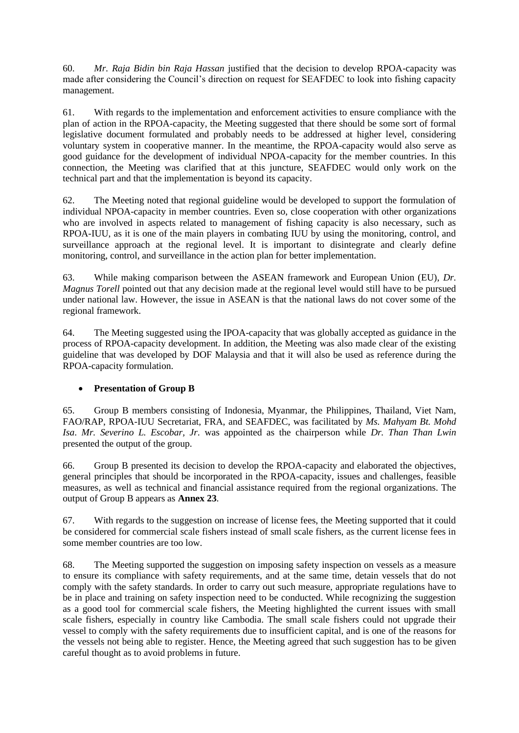60. *Mr. Raja Bidin bin Raja Hassan* justified that the decision to develop RPOA-capacity was made after considering the Council's direction on request for SEAFDEC to look into fishing capacity management.

61. With regards to the implementation and enforcement activities to ensure compliance with the plan of action in the RPOA-capacity, the Meeting suggested that there should be some sort of formal legislative document formulated and probably needs to be addressed at higher level, considering voluntary system in cooperative manner. In the meantime, the RPOA-capacity would also serve as good guidance for the development of individual NPOA-capacity for the member countries. In this connection, the Meeting was clarified that at this juncture, SEAFDEC would only work on the technical part and that the implementation is beyond its capacity.

62. The Meeting noted that regional guideline would be developed to support the formulation of individual NPOA-capacity in member countries. Even so, close cooperation with other organizations who are involved in aspects related to management of fishing capacity is also necessary, such as RPOA-IUU, as it is one of the main players in combating IUU by using the monitoring, control, and surveillance approach at the regional level. It is important to disintegrate and clearly define monitoring, control, and surveillance in the action plan for better implementation.

63. While making comparison between the ASEAN framework and European Union (EU), *Dr. Magnus Torell* pointed out that any decision made at the regional level would still have to be pursued under national law. However, the issue in ASEAN is that the national laws do not cover some of the regional framework.

64. The Meeting suggested using the IPOA-capacity that was globally accepted as guidance in the process of RPOA-capacity development. In addition, the Meeting was also made clear of the existing guideline that was developed by DOF Malaysia and that it will also be used as reference during the RPOA-capacity formulation.

## • **Presentation of Group B**

65. Group B members consisting of Indonesia, Myanmar, the Philippines, Thailand, Viet Nam, FAO/RAP, RPOA-IUU Secretariat, FRA, and SEAFDEC, was facilitated by *Ms. Mahyam Bt. Mohd Isa*. *Mr. Severino L. Escobar, Jr.* was appointed as the chairperson while *Dr. Than Than Lwin* presented the output of the group.

66. Group B presented its decision to develop the RPOA-capacity and elaborated the objectives, general principles that should be incorporated in the RPOA-capacity, issues and challenges, feasible measures, as well as technical and financial assistance required from the regional organizations. The output of Group B appears as **Annex 23**.

67. With regards to the suggestion on increase of license fees, the Meeting supported that it could be considered for commercial scale fishers instead of small scale fishers, as the current license fees in some member countries are too low.

68. The Meeting supported the suggestion on imposing safety inspection on vessels as a measure to ensure its compliance with safety requirements, and at the same time, detain vessels that do not comply with the safety standards. In order to carry out such measure, appropriate regulations have to be in place and training on safety inspection need to be conducted. While recognizing the suggestion as a good tool for commercial scale fishers, the Meeting highlighted the current issues with small scale fishers, especially in country like Cambodia. The small scale fishers could not upgrade their vessel to comply with the safety requirements due to insufficient capital, and is one of the reasons for the vessels not being able to register. Hence, the Meeting agreed that such suggestion has to be given careful thought as to avoid problems in future.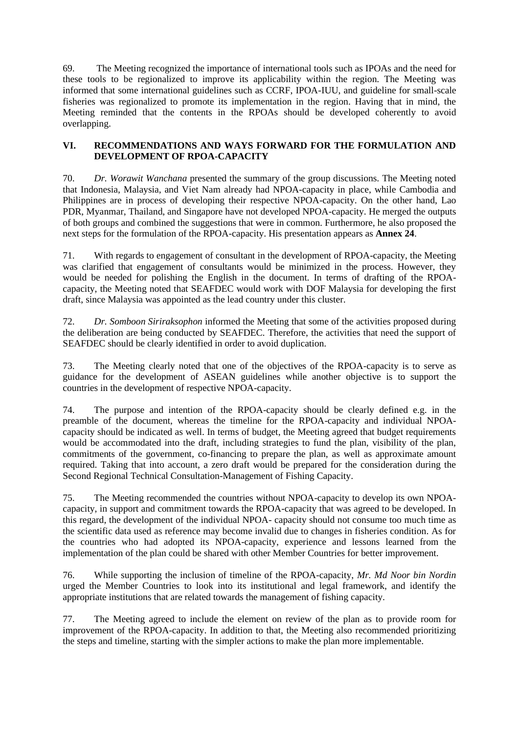69. The Meeting recognized the importance of international tools such as IPOAs and the need for these tools to be regionalized to improve its applicability within the region. The Meeting was informed that some international guidelines such as CCRF, IPOA-IUU, and guideline for small-scale fisheries was regionalized to promote its implementation in the region. Having that in mind, the Meeting reminded that the contents in the RPOAs should be developed coherently to avoid overlapping.

## **VI. RECOMMENDATIONS AND WAYS FORWARD FOR THE FORMULATION AND DEVELOPMENT OF RPOA-CAPACITY**

70. *Dr. Worawit Wanchana* presented the summary of the group discussions. The Meeting noted that Indonesia, Malaysia, and Viet Nam already had NPOA-capacity in place, while Cambodia and Philippines are in process of developing their respective NPOA-capacity. On the other hand, Lao PDR, Myanmar, Thailand, and Singapore have not developed NPOA-capacity. He merged the outputs of both groups and combined the suggestions that were in common. Furthermore, he also proposed the next steps for the formulation of the RPOA-capacity. His presentation appears as **Annex 24**.

71. With regards to engagement of consultant in the development of RPOA-capacity, the Meeting was clarified that engagement of consultants would be minimized in the process. However, they would be needed for polishing the English in the document. In terms of drafting of the RPOAcapacity, the Meeting noted that SEAFDEC would work with DOF Malaysia for developing the first draft, since Malaysia was appointed as the lead country under this cluster.

72. *Dr. Somboon Siriraksophon* informed the Meeting that some of the activities proposed during the deliberation are being conducted by SEAFDEC. Therefore, the activities that need the support of SEAFDEC should be clearly identified in order to avoid duplication.

73. The Meeting clearly noted that one of the objectives of the RPOA-capacity is to serve as guidance for the development of ASEAN guidelines while another objective is to support the countries in the development of respective NPOA-capacity.

74. The purpose and intention of the RPOA-capacity should be clearly defined e.g. in the preamble of the document, whereas the timeline for the RPOA-capacity and individual NPOAcapacity should be indicated as well. In terms of budget, the Meeting agreed that budget requirements would be accommodated into the draft, including strategies to fund the plan, visibility of the plan, commitments of the government, co-financing to prepare the plan, as well as approximate amount required. Taking that into account, a zero draft would be prepared for the consideration during the Second Regional Technical Consultation-Management of Fishing Capacity.

75. The Meeting recommended the countries without NPOA-capacity to develop its own NPOAcapacity, in support and commitment towards the RPOA-capacity that was agreed to be developed. In this regard, the development of the individual NPOA- capacity should not consume too much time as the scientific data used as reference may become invalid due to changes in fisheries condition. As for the countries who had adopted its NPOA-capacity, experience and lessons learned from the implementation of the plan could be shared with other Member Countries for better improvement.

76. While supporting the inclusion of timeline of the RPOA-capacity, *Mr. Md Noor bin Nordin* urged the Member Countries to look into its institutional and legal framework, and identify the appropriate institutions that are related towards the management of fishing capacity.

77. The Meeting agreed to include the element on review of the plan as to provide room for improvement of the RPOA-capacity. In addition to that, the Meeting also recommended prioritizing the steps and timeline, starting with the simpler actions to make the plan more implementable.